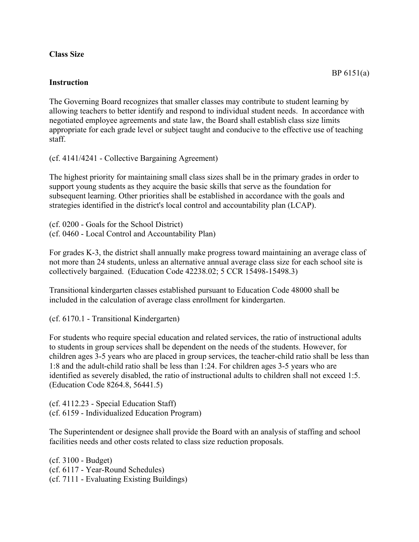## **Class Size**

## **Instruction**

The Governing Board recognizes that smaller classes may contribute to student learning by allowing teachers to better identify and respond to individual student needs. In accordance with negotiated employee agreements and state law, the Board shall establish class size limits appropriate for each grade level or subject taught and conducive to the effective use of teaching staff.

(cf. 4141/4241 - Collective Bargaining Agreement)

The highest priority for maintaining small class sizes shall be in the primary grades in order to support young students as they acquire the basic skills that serve as the foundation for subsequent learning. Other priorities shall be established in accordance with the goals and strategies identified in the district's local control and accountability plan (LCAP).

(cf. 0200 - Goals for the School District) (cf. 0460 - Local Control and Accountability Plan)

For grades K-3, the district shall annually make progress toward maintaining an average class of not more than 24 students, unless an alternative annual average class size for each school site is collectively bargained. (Education Code 42238.02; 5 CCR 15498-15498.3)

Transitional kindergarten classes established pursuant to Education Code 48000 shall be included in the calculation of average class enrollment for kindergarten.

(cf. 6170.1 - Transitional Kindergarten)

For students who require special education and related services, the ratio of instructional adults to students in group services shall be dependent on the needs of the students. However, for children ages 3-5 years who are placed in group services, the teacher-child ratio shall be less than 1:8 and the adult-child ratio shall be less than 1:24. For children ages 3-5 years who are identified as severely disabled, the ratio of instructional adults to children shall not exceed 1:5. (Education Code 8264.8, 56441.5)

(cf. 4112.23 - Special Education Staff) (cf. 6159 - Individualized Education Program)

The Superintendent or designee shall provide the Board with an analysis of staffing and school facilities needs and other costs related to class size reduction proposals.

(cf. 3100 - Budget) (cf. 6117 - Year-Round Schedules) (cf. 7111 - Evaluating Existing Buildings)